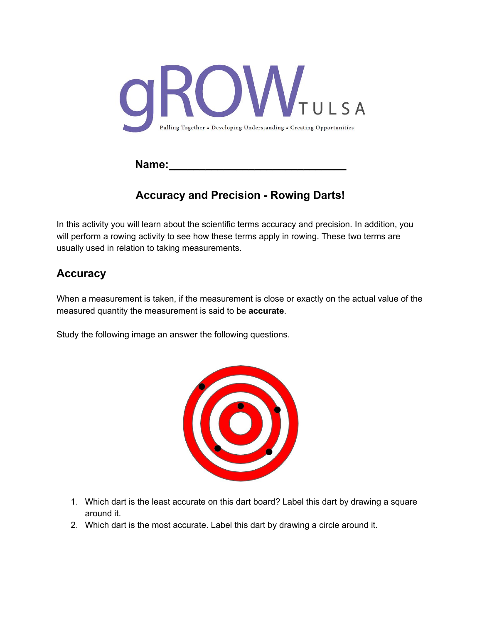

Name:

# **Accuracy and Precision - Rowing Darts!**

In this activity you will learn about the scientific terms accuracy and precision. In addition, you will perform a rowing activity to see how these terms apply in rowing. These two terms are usually used in relation to taking measurements.

## **Accuracy**

When a measurement is taken, if the measurement is close or exactly on the actual value of the measured quantity the measurement is said to be **accurate**.

Study the following image an answer the following questions.



- 1. Which dart is the least accurate on this dart board? Label this dart by drawing a square around it.
- 2. Which dart is the most accurate. Label this dart by drawing a circle around it.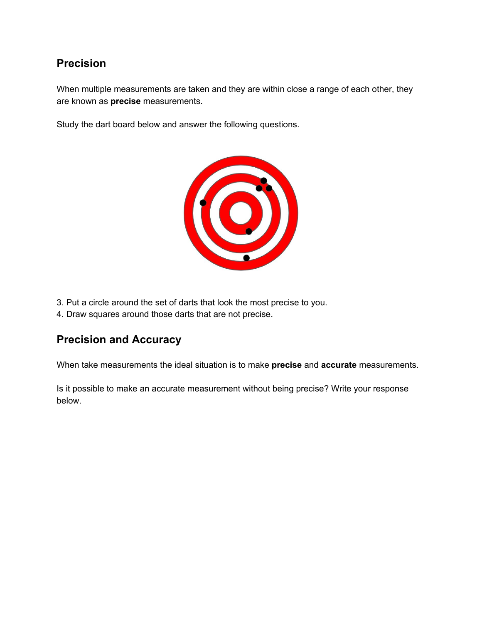### **Precision**

When multiple measurements are taken and they are within close a range of each other, they are known as **precise** measurements.

Study the dart board below and answer the following questions.



- 3. Put a circle around the set of darts that look the most precise to you.
- 4. Draw squares around those darts that are not precise.

## **Precision and Accuracy**

When take measurements the ideal situation is to make **precise** and **accurate** measurements.

Is it possible to make an accurate measurement without being precise? Write your response below.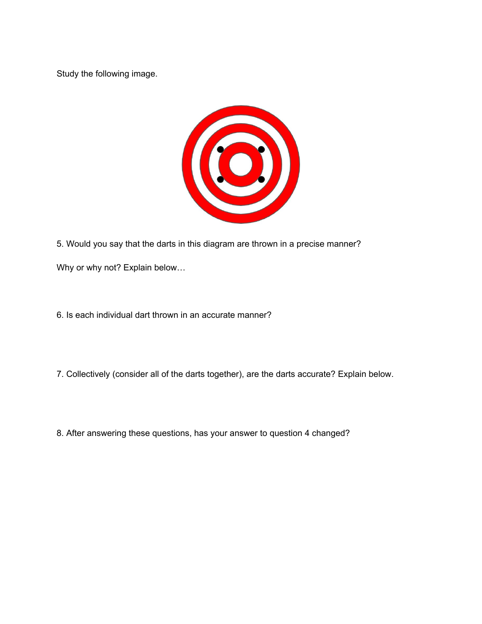Study the following image.



5. Would you say that the darts in this diagram are thrown in a precise manner?

Why or why not? Explain below…

6. Is each individual dart thrown in an accurate manner?

7. Collectively (consider all of the darts together), are the darts accurate? Explain below.

8. After answering these questions, has your answer to question 4 changed?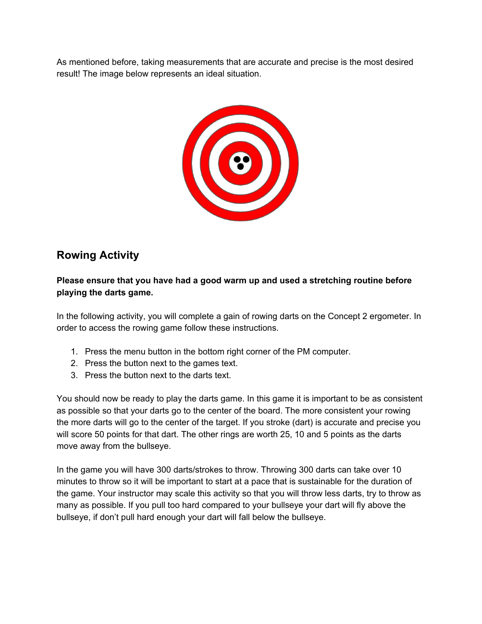As mentioned before, taking measurements that are accurate and precise is the most desired result! The image below represents an ideal situation.



# **Rowing Activity**

### **Please ensure that you have had a good warm up and used a stretching routine before playing the darts game.**

In the following activity, you will complete a gain of rowing darts on the Concept 2 ergometer. In order to access the rowing game follow these instructions.

- 1. Press the menu button in the bottom right corner of the PM computer.
- 2. Press the button next to the games text.
- 3. Press the button next to the darts text.

You should now be ready to play the darts game. In this game it is important to be as consistent as possible so that your darts go to the center of the board. The more consistent your rowing the more darts will go to the center of the target. If you stroke (dart) is accurate and precise you will score 50 points for that dart. The other rings are worth 25, 10 and 5 points as the darts move away from the bullseye.

In the game you will have 300 darts/strokes to throw. Throwing 300 darts can take over 10 minutes to throw so it will be important to start at a pace that is sustainable for the duration of the game. Your instructor may scale this activity so that you will throw less darts, try to throw as many as possible. If you pull too hard compared to your bullseye your dart will fly above the bullseye, if don't pull hard enough your dart will fall below the bullseye.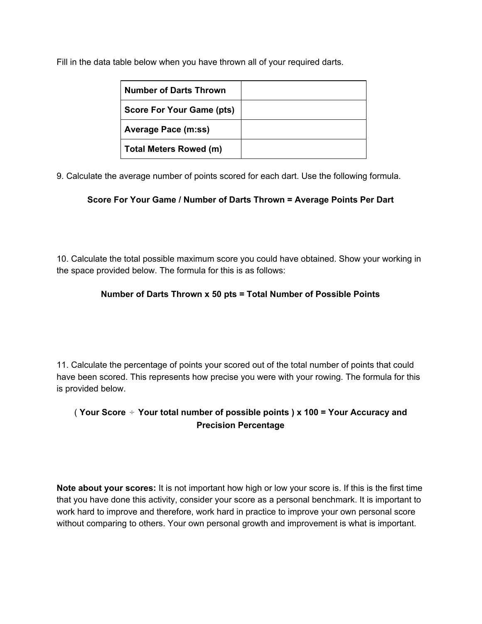Fill in the data table below when you have thrown all of your required darts.

| <b>Number of Darts Thrown</b>    |  |
|----------------------------------|--|
| <b>Score For Your Game (pts)</b> |  |
| <b>Average Pace (m:ss)</b>       |  |
| <b>Total Meters Rowed (m)</b>    |  |

9. Calculate the average number of points scored for each dart. Use the following formula.

#### **Score For Your Game / Number of Darts Thrown = Average Points Per Dart**

10. Calculate the total possible maximum score you could have obtained. Show your working in the space provided below. The formula for this is as follows:

### **Number of Darts Thrown x 50 pts = Total Number of Possible Points**

11. Calculate the percentage of points your scored out of the total number of points that could have been scored. This represents how precise you were with your rowing. The formula for this is provided below.

### ( **Your Score** ÷ **Your total number of possible points ) x 100 = Your Accuracy and Precision Percentage**

**Note about your scores:** It is not important how high or low your score is. If this is the first time that you have done this activity, consider your score as a personal benchmark. It is important to work hard to improve and therefore, work hard in practice to improve your own personal score without comparing to others. Your own personal growth and improvement is what is important.